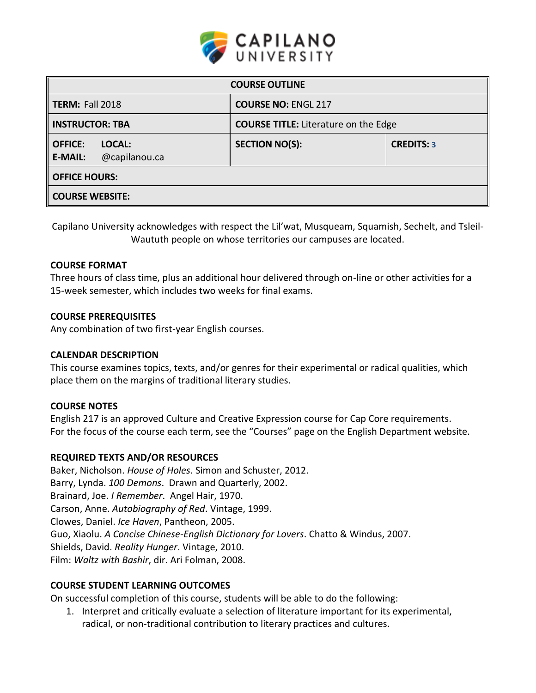

| <b>COURSE OUTLINE</b>                                       |                                             |                   |  |  |  |
|-------------------------------------------------------------|---------------------------------------------|-------------------|--|--|--|
| <b>TERM: Fall 2018</b>                                      | <b>COURSE NO: ENGL 217</b>                  |                   |  |  |  |
| <b>INSTRUCTOR: TBA</b>                                      | <b>COURSE TITLE:</b> Literature on the Edge |                   |  |  |  |
| LOCAL:<br><b>OFFICE:</b><br>@capilanou.ca<br><b>E-MAIL:</b> | <b>SECTION NO(S):</b>                       | <b>CREDITS: 3</b> |  |  |  |
| <b>OFFICE HOURS:</b>                                        |                                             |                   |  |  |  |
| <b>COURSE WEBSITE:</b>                                      |                                             |                   |  |  |  |

Capilano University acknowledges with respect the Lil'wat, Musqueam, Squamish, Sechelt, and Tsleil-Waututh people on whose territories our campuses are located.

## **COURSE FORMAT**

Three hours of class time, plus an additional hour delivered through on-line or other activities for a 15-week semester, which includes two weeks for final exams.

#### **COURSE PREREQUISITES**

Any combination of two first-year English courses.

#### **CALENDAR DESCRIPTION**

This course examines topics, texts, and/or genres for their experimental or radical qualities, which place them on the margins of traditional literary studies.

# **COURSE NOTES**

English 217 is an approved Culture and Creative Expression course for Cap Core requirements. For the focus of the course each term, see the "Courses" page on the English Department website.

# **REQUIRED TEXTS AND/OR RESOURCES**

Baker, Nicholson. *House of Holes*. Simon and Schuster, 2012. Barry, Lynda. *100 Demons*. Drawn and Quarterly, 2002. Brainard, Joe. *I Remember*. Angel Hair, 1970. Carson, Anne. *Autobiography of Red*. Vintage, 1999. Clowes, Daniel. *Ice Haven*, Pantheon, 2005. Guo, Xiaolu. *A Concise Chinese-English Dictionary for Lovers*. Chatto & Windus, 2007. Shields, David. *Reality Hunger*. Vintage, 2010. Film: *Waltz with Bashir*, dir. Ari Folman, 2008.

# **COURSE STUDENT LEARNING OUTCOMES**

On successful completion of this course, students will be able to do the following:

1. Interpret and critically evaluate a selection of literature important for its experimental, radical, or non-traditional contribution to literary practices and cultures.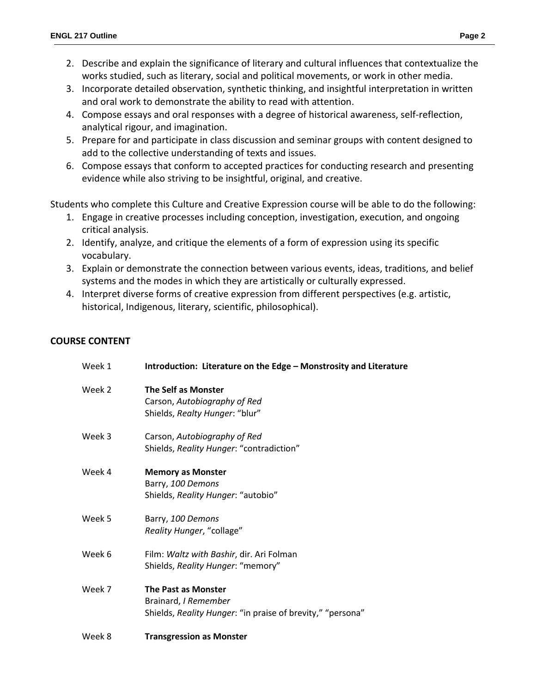- 2. Describe and explain the significance of literary and cultural influences that contextualize the works studied, such as literary, social and political movements, or work in other media.
- 3. Incorporate detailed observation, synthetic thinking, and insightful interpretation in written and oral work to demonstrate the ability to read with attention.
- 4. Compose essays and oral responses with a degree of historical awareness, self-reflection, analytical rigour, and imagination.
- 5. Prepare for and participate in class discussion and seminar groups with content designed to add to the collective understanding of texts and issues.
- 6. Compose essays that conform to accepted practices for conducting research and presenting evidence while also striving to be insightful, original, and creative.

Students who complete this Culture and Creative Expression course will be able to do the following:

- 1. Engage in creative processes including conception, investigation, execution, and ongoing critical analysis.
- 2. Identify, analyze, and critique the elements of a form of expression using its specific vocabulary.
- 3. Explain or demonstrate the connection between various events, ideas, traditions, and belief systems and the modes in which they are artistically or culturally expressed.
- 4. Interpret diverse forms of creative expression from different perspectives (e.g. artistic, historical, Indigenous, literary, scientific, philosophical).

# **COURSE CONTENT**

| Week 1 | Introduction: Literature on the Edge - Monstrosity and Literature                                                |
|--------|------------------------------------------------------------------------------------------------------------------|
| Week 2 | <b>The Self as Monster</b><br>Carson, Autobiography of Red<br>Shields, Realty Hunger: "blur"                     |
| Week 3 | Carson, Autobiography of Red<br>Shields, Reality Hunger: "contradiction"                                         |
| Week 4 | <b>Memory as Monster</b><br>Barry, 100 Demons<br>Shields, Reality Hunger: "autobio"                              |
| Week 5 | Barry, 100 Demons<br>Reality Hunger, "collage"                                                                   |
| Week 6 | Film: Waltz with Bashir, dir. Ari Folman<br>Shields, Reality Hunger: "memory"                                    |
| Week 7 | <b>The Past as Monster</b><br>Brainard, I Remember<br>Shields, Reality Hunger: "in praise of brevity," "persona" |
| Week 8 | <b>Transgression as Monster</b>                                                                                  |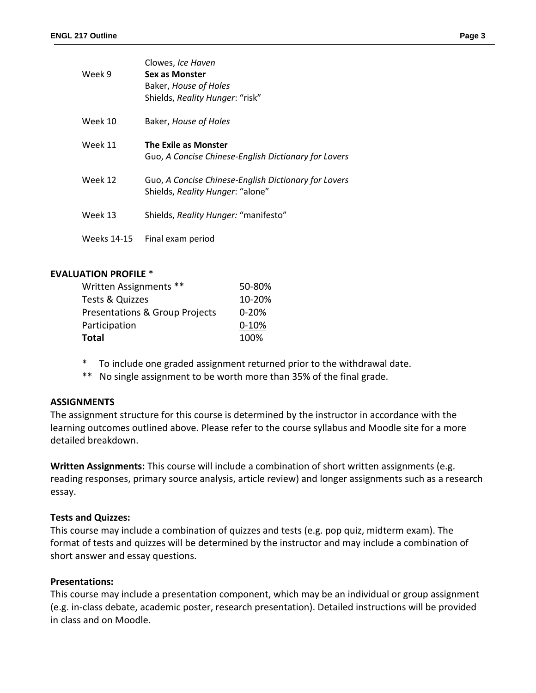| Week 9  | Clowes, Ice Haven<br>Sex as Monster<br>Baker, House of Holes<br>Shields, Reality Hunger: "risk" |
|---------|-------------------------------------------------------------------------------------------------|
| Week 10 | Baker, House of Holes                                                                           |
| Week 11 | <b>The Exile as Monster</b>                                                                     |

|         | Guo, A Concise Chinese-English Dictionary for Lovers                                     |
|---------|------------------------------------------------------------------------------------------|
| Week 12 | Guo, A Concise Chinese-English Dictionary for Lovers<br>Shields, Reality Hunger: "alone" |

Week 13 Shields, *Reality Hunger:* "manifesto"

Weeks 14-15 Final exam period

## **EVALUATION PROFILE** \*

| Written Assignments **                    | 50-80%    |
|-------------------------------------------|-----------|
| Tests & Quizzes                           | 10-20%    |
| <b>Presentations &amp; Group Projects</b> | $0 - 20%$ |
| Participation                             | $0 - 10%$ |
| Total                                     | 100%      |

- \* To include one graded assignment returned prior to the withdrawal date.
- \*\* No single assignment to be worth more than 35% of the final grade.

#### **ASSIGNMENTS**

The assignment structure for this course is determined by the instructor in accordance with the learning outcomes outlined above. Please refer to the course syllabus and Moodle site for a more detailed breakdown.

**Written Assignments:** This course will include a combination of short written assignments (e.g. reading responses, primary source analysis, article review) and longer assignments such as a research essay.

#### **Tests and Quizzes:**

This course may include a combination of quizzes and tests (e.g. pop quiz, midterm exam). The format of tests and quizzes will be determined by the instructor and may include a combination of short answer and essay questions.

#### **Presentations:**

This course may include a presentation component, which may be an individual or group assignment (e.g. in-class debate, academic poster, research presentation). Detailed instructions will be provided in class and on Moodle.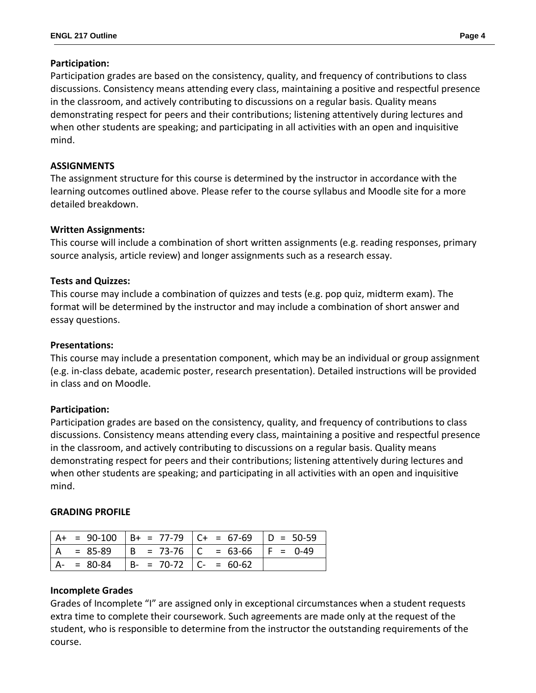## **Participation:**

Participation grades are based on the consistency, quality, and frequency of contributions to class discussions. Consistency means attending every class, maintaining a positive and respectful presence in the classroom, and actively contributing to discussions on a regular basis. Quality means demonstrating respect for peers and their contributions; listening attentively during lectures and when other students are speaking; and participating in all activities with an open and inquisitive mind.

## **ASSIGNMENTS**

The assignment structure for this course is determined by the instructor in accordance with the learning outcomes outlined above. Please refer to the course syllabus and Moodle site for a more detailed breakdown.

## **Written Assignments:**

This course will include a combination of short written assignments (e.g. reading responses, primary source analysis, article review) and longer assignments such as a research essay.

## **Tests and Quizzes:**

This course may include a combination of quizzes and tests (e.g. pop quiz, midterm exam). The format will be determined by the instructor and may include a combination of short answer and essay questions.

## **Presentations:**

This course may include a presentation component, which may be an individual or group assignment (e.g. in-class debate, academic poster, research presentation). Detailed instructions will be provided in class and on Moodle.

#### **Participation:**

Participation grades are based on the consistency, quality, and frequency of contributions to class discussions. Consistency means attending every class, maintaining a positive and respectful presence in the classroom, and actively contributing to discussions on a regular basis. Quality means demonstrating respect for peers and their contributions; listening attentively during lectures and when other students are speaking; and participating in all activities with an open and inquisitive mind.

#### **GRADING PROFILE**

|             |                                       | $ $ A+ = 90-100 $ $ B+ = 77-79 $ $ C+ = 67-69 $ $ D = 50-59 |             |
|-------------|---------------------------------------|-------------------------------------------------------------|-------------|
| $= 85-89$   |                                       | $ B = 73-76$   C = 63-66                                    | $ F = 0-49$ |
| $A - 80-84$ | $\vert$ B- = 70-72 $\vert$ C- = 60-62 |                                                             |             |

# **Incomplete Grades**

Grades of Incomplete "I" are assigned only in exceptional circumstances when a student requests extra time to complete their coursework. Such agreements are made only at the request of the student, who is responsible to determine from the instructor the outstanding requirements of the course.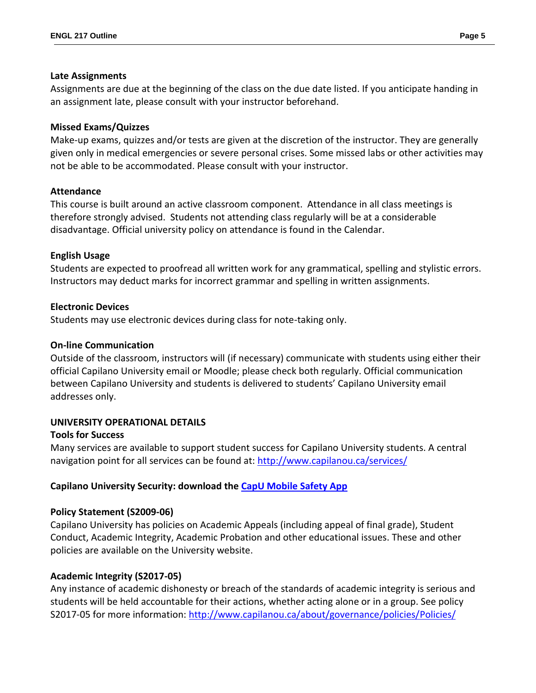## **Late Assignments**

Assignments are due at the beginning of the class on the due date listed. If you anticipate handing in an assignment late, please consult with your instructor beforehand.

## **Missed Exams/Quizzes**

Make-up exams, quizzes and/or tests are given at the discretion of the instructor. They are generally given only in medical emergencies or severe personal crises. Some missed labs or other activities may not be able to be accommodated. Please consult with your instructor.

## **Attendance**

This course is built around an active classroom component. Attendance in all class meetings is therefore strongly advised. Students not attending class regularly will be at a considerable disadvantage. Official university policy on attendance is found in the Calendar.

## **English Usage**

Students are expected to proofread all written work for any grammatical, spelling and stylistic errors. Instructors may deduct marks for incorrect grammar and spelling in written assignments.

## **Electronic Devices**

Students may use electronic devices during class for note-taking only.

### **On-line Communication**

Outside of the classroom, instructors will (if necessary) communicate with students using either their official Capilano University email or Moodle; please check both regularly. Official communication between Capilano University and students is delivered to students' Capilano University email addresses only.

# **UNIVERSITY OPERATIONAL DETAILS**

#### **Tools for Success**

Many services are available to support student success for Capilano University students. A central navigation point for all services can be found at:<http://www.capilanou.ca/services/>

# **Capilano University Security: download the [CapU Mobile Safety App](https://www.capilanou.ca/services/safety-security/CapU-Mobile-Safety-App/)**

# **Policy Statement (S2009-06)**

Capilano University has policies on Academic Appeals (including appeal of final grade), Student Conduct, Academic Integrity, Academic Probation and other educational issues. These and other policies are available on the University website.

# **Academic Integrity (S2017-05)**

Any instance of academic dishonesty or breach of the standards of academic integrity is serious and students will be held accountable for their actions, whether acting alone or in a group. See policy S2017-05 for more information:<http://www.capilanou.ca/about/governance/policies/Policies/>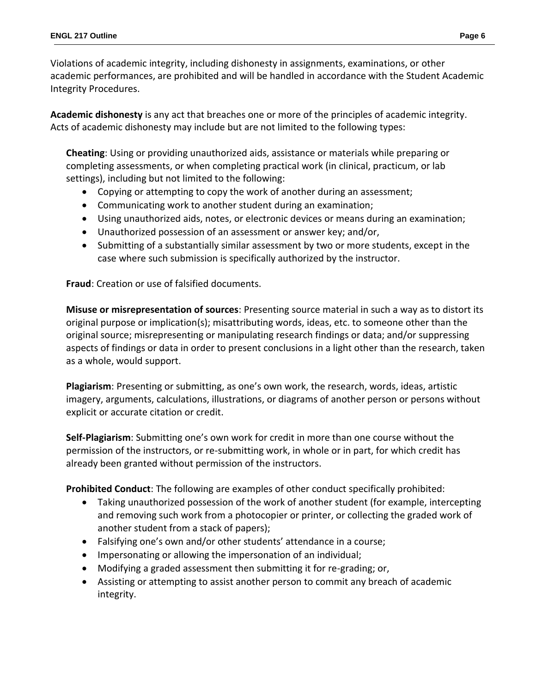Violations of academic integrity, including dishonesty in assignments, examinations, or other academic performances, are prohibited and will be handled in accordance with the Student Academic Integrity Procedures.

**Academic dishonesty** is any act that breaches one or more of the principles of academic integrity. Acts of academic dishonesty may include but are not limited to the following types:

**Cheating**: Using or providing unauthorized aids, assistance or materials while preparing or completing assessments, or when completing practical work (in clinical, practicum, or lab settings), including but not limited to the following:

- Copying or attempting to copy the work of another during an assessment;
- Communicating work to another student during an examination;
- Using unauthorized aids, notes, or electronic devices or means during an examination;
- Unauthorized possession of an assessment or answer key; and/or,
- Submitting of a substantially similar assessment by two or more students, except in the case where such submission is specifically authorized by the instructor.

**Fraud**: Creation or use of falsified documents.

**Misuse or misrepresentation of sources**: Presenting source material in such a way as to distort its original purpose or implication(s); misattributing words, ideas, etc. to someone other than the original source; misrepresenting or manipulating research findings or data; and/or suppressing aspects of findings or data in order to present conclusions in a light other than the research, taken as a whole, would support.

**Plagiarism**: Presenting or submitting, as one's own work, the research, words, ideas, artistic imagery, arguments, calculations, illustrations, or diagrams of another person or persons without explicit or accurate citation or credit.

**Self-Plagiarism**: Submitting one's own work for credit in more than one course without the permission of the instructors, or re-submitting work, in whole or in part, for which credit has already been granted without permission of the instructors.

**Prohibited Conduct**: The following are examples of other conduct specifically prohibited:

- Taking unauthorized possession of the work of another student (for example, intercepting and removing such work from a photocopier or printer, or collecting the graded work of another student from a stack of papers);
- Falsifying one's own and/or other students' attendance in a course;
- Impersonating or allowing the impersonation of an individual;
- Modifying a graded assessment then submitting it for re-grading; or,
- Assisting or attempting to assist another person to commit any breach of academic integrity.